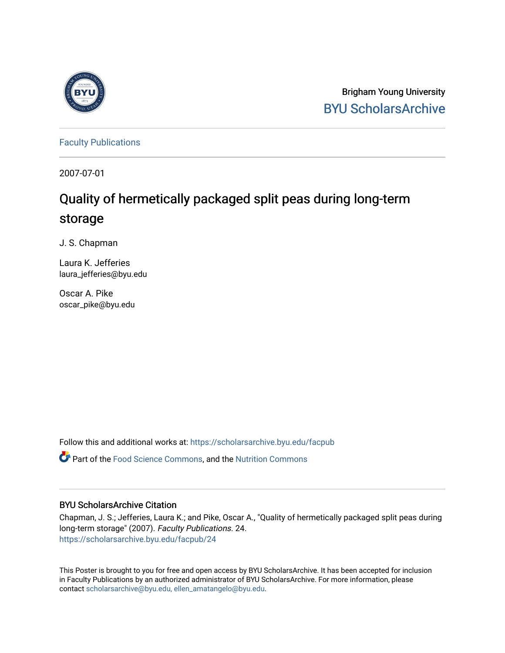

Brigham Young University [BYU ScholarsArchive](https://scholarsarchive.byu.edu/) 

[Faculty Publications](https://scholarsarchive.byu.edu/facpub)

2007-07-01

# Quality of hermetically packaged split peas during long-term storage

J. S. Chapman

Laura K. Jefferies laura\_jefferies@byu.edu

Oscar A. Pike oscar\_pike@byu.edu

Follow this and additional works at: [https://scholarsarchive.byu.edu/facpub](https://scholarsarchive.byu.edu/facpub?utm_source=scholarsarchive.byu.edu%2Ffacpub%2F24&utm_medium=PDF&utm_campaign=PDFCoverPages) 

Part of the [Food Science Commons,](http://network.bepress.com/hgg/discipline/84?utm_source=scholarsarchive.byu.edu%2Ffacpub%2F24&utm_medium=PDF&utm_campaign=PDFCoverPages) and the [Nutrition Commons](http://network.bepress.com/hgg/discipline/95?utm_source=scholarsarchive.byu.edu%2Ffacpub%2F24&utm_medium=PDF&utm_campaign=PDFCoverPages) 

#### BYU ScholarsArchive Citation

Chapman, J. S.; Jefferies, Laura K.; and Pike, Oscar A., "Quality of hermetically packaged split peas during long-term storage" (2007). Faculty Publications. 24. [https://scholarsarchive.byu.edu/facpub/24](https://scholarsarchive.byu.edu/facpub/24?utm_source=scholarsarchive.byu.edu%2Ffacpub%2F24&utm_medium=PDF&utm_campaign=PDFCoverPages)

This Poster is brought to you for free and open access by BYU ScholarsArchive. It has been accepted for inclusion in Faculty Publications by an authorized administrator of BYU ScholarsArchive. For more information, please contact [scholarsarchive@byu.edu, ellen\\_amatangelo@byu.edu](mailto:scholarsarchive@byu.edu,%20ellen_amatangelo@byu.edu).